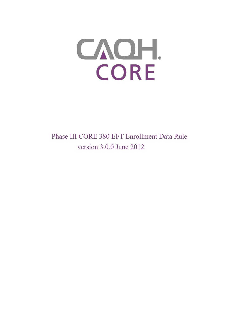

Phase III CORE 380 EFT Enrollment Data Rule version 3.0.0 June 2012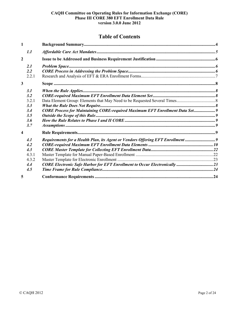# **Table of Contents**

| $\mathbf{1}$            |                                                                                |  |
|-------------------------|--------------------------------------------------------------------------------|--|
| 1.1                     |                                                                                |  |
| $\overline{2}$          |                                                                                |  |
| 2.1<br>2.2              |                                                                                |  |
| 2.2.1                   |                                                                                |  |
| $\mathbf{3}$            |                                                                                |  |
| 3.1                     |                                                                                |  |
| 3.2                     |                                                                                |  |
| 3.2.1                   |                                                                                |  |
| 3.3                     |                                                                                |  |
| 3.4                     | CORE Process for Maintaining CORE-required Maximum EFT Enrollment Data Set 9   |  |
| 3.5                     |                                                                                |  |
| 3.6                     |                                                                                |  |
| 3.7                     |                                                                                |  |
| $\overline{\mathbf{4}}$ |                                                                                |  |
| 4.1                     | Requirements for a Health Plan, its Agent or Vendors Offering EFT Enrollment 9 |  |
| 4.2                     |                                                                                |  |
| 4.3                     |                                                                                |  |
| 4.3.1                   |                                                                                |  |
| 4.3.2                   |                                                                                |  |
| 4.4                     | CORE Electronic Safe Harbor for EFT Enrollment to Occur Electronically 23      |  |
| 4.5                     |                                                                                |  |
| 5                       |                                                                                |  |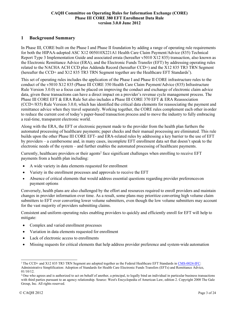# <span id="page-2-0"></span>**1 Background Summary**

In Phase III, CORE built on the Phase I and Phase II foundation by adding a range of operating rule requirements for both the HIPAA-adopted ASC X12 005010X221A1 Health Care Claim Payment/Advice (835) Technical Report Type 3 Implementation Guide and associated errata (hereafter v5010 X12 835) transaction, also known as the Electronic Remittance Advice (ERA), and the Electronic Funds Transfer (EFT) by addressing operating rules related to the NACHA ACH CCD plus Addenda Record (hereafter CCD+) and the X12 835 TR3 TRN Segment (hereafter the CCD+ and X12 835 TR3 TRN Segment together are the Healthcare EFT Standards<sup>1</sup>).

This set of operating rules includes the application of the Phase I and Phase II CORE infrastructure rules to the conduct of the v5010 X12 835 (Phase III CORE 350 Health Care Claim Payment/Advice (835) Infrastructure Rule Version 3.0.0) so a focus can be placed on improving the conduct and exchange of electronic claim advice data, given these transactions can have a direct impact on a provider's revenue cycle management process. The Phase III CORE EFT & ERA Rule Set also includes a Phase III CORE 370 EFT & ERA Reassociation (CCD+/835) Rule Version 3.0.0, which has identified the critical data elements for reassociating the payment and remittance advice when they travel separately. Working together, the CORE rules complement each other inorder to reduce the current cost of today's paper-based transaction process and to move the industry to fully embracing a real-time, transparent electronic world.

Along with the ERA, the EFT or electronic payment made to the provider from the health plan furthers the automated processing of healthcare payments; paper checks and their manual processing are eliminated. This rule builds upon the other Phase III CORE EFT- and ERA-related rules by addressing a key barrier to the use of EFT by providers – a cumbersome and, in many cases, incomplete EFT enrollment data set that doesn't speak to the electronic needs of the system – and further enables the automated processing of healthcare payments.

Currently, healthcare providers or their agents<sup>2</sup> face significant challenges when enrolling to receive EFT payments from a health plan including:

- A wide variety in data elements requested for enrollment
- Variety in the enrollment processes and approvals to receive the EFT
- Absence of critical elements that would address essential questions regarding provider preferenceson payment options

Conversely, health plans are also challenged by the effort and resources required to enroll providers and maintain changes in provider information over time. As a result, some plans may prioritize converting high volume claim submitters to EFT over converting lower volume submitters, even though the low volume submitters may account for the vast majority of providers submitting claims.

Consistent and uniform operating rules enabling providers to quickly and efficiently enroll for EFT will help to mitigate:

- Complex and varied enrollment processes
- Variation in data elements requested for enrollment
- Lack of electronic access to enrollments
- Missing requests for critical elements that help address provider preference and system-wide automation

<sup>&</sup>lt;sup>1</sup> The CCD+ and X12 835 TR3 TRN Segment are adopted together as the Federal Healthcare EFT Standards in [CMS-0024-IFC:](http://www.gpo.gov/fdsys/pkg/FR-2012-01-10/pdf/2012-132.pdf) Administrative Simplification: Adoption of Standards for Health Care Electronic Funds Transfers (EFTs) and Remittance Advice, 01/10/12.

<sup>&</sup>lt;sup>2</sup> One who agrees and is authorized to act on behalf of another, a principal, to legally bind an individual in particular business transactions with third parties pursuant to an agency relationship. Source: West's Encyclopedia of American Law, edition 2. Copyright 2008 The Gale Group, Inc. All rights reserved.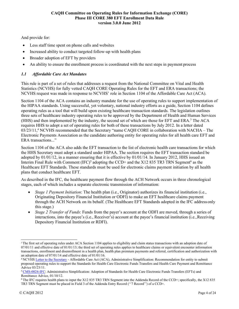And provide for:

- Less staff time spent on phone calls and websites
- Increased ability to conduct targeted follow-up with health plans
- Broader adoption of EFT by providers
- An ability to ensure the enrollment process is coordinated with the next steps in payment process

# <span id="page-3-0"></span>*1.1 Affordable Care Act Mandates*

This rule is part of a set of rules that addresses a request from the National Committee on Vital and Health Statistics (NCVHS) for fully vetted CAQH CORE Operating Rules for the EFT and ERA transactions; the NCVHS request was made in response to NCVHS' role in Section 1104 of the Affordable Care Act (ACA).

Section 1104 of the ACA contains an industry mandate for the use of operating rules to support implementation of the HIPAA standards. Using successful, yet voluntary, national industry efforts as a guide, Section 1104 defines operating rules as a tool that will build upon existing healthcare transaction standards. The legislation outlines three sets of healthcare industry operating rules to be approved by the Department of Health and Human Services (HHS) and then implemented by the industry, the second set of which are those for EFT and ERA.3 The ACA requires HHS to adopt a set of operating rules for both of these transactions by July 2012. In a letter dated  $03/23/11$ ,<sup>4</sup> NCVHS recommended that the Secretary "name CAQH CORE in collaboration with NACHA – The Electronic Payments Association as the candidate authoring entity for operating rules for all health care EFT and ERA transactions..."

Section 1104 of the ACA also adds the EFT transaction to the list of electronic health care transactions for which the HHS Secretary must adopt a standard under HIPAA. The section requires the EFT transaction standard be adopted by 01/01/12, in a manner ensuring that it is effective by 01/01/14. In January 2012, HHS issued an Interim Final Rule with Comment  $(IFC)^5$  adopting the CCD+ and the X12 835 TR3 TRN Segment<sup>6</sup> as the Healthcare EFT Standards. These standards must be used for electronic claims payment initiation by all health plans that conduct healthcare EFT.

As described in the IFC, the healthcare payment flow through the ACH Network occurs in three chronological stages, each of which includes a separate electronic transmission of information:

- *Stage 1 Payment Initiation*: The health plan (i.e., Originator) authorizes its financial institution (i.e., Originating Depository Financial Institution or ODFI) to make an EFT healthcare claims payment through the ACH Network on its behalf. (The Healthcare EFT Standards adopted in the IFC address only this stage.)
- *Stage 2 Transfer of Funds*: Funds from the payer's account at the ODFI are moved, through a series of interactions, into the payee's (i.e., Receiver's) account at the payee's financial institution (i.e.,Receiving Depository Financial Institution or RDFI).

<sup>&</sup>lt;sup>3</sup>The first set of operating rules under ACA Section 1104 applies to eligibility and claim status transactions with an adoption date of  $07/01/11$  and effective date of  $01/01/13$ ; the third set of operating rules applies to healthcare claims or equivalent encounter information transactions, enrollment and disenrollment in a health plan, health plan premium payments and referral, certification and authorization with an adoption date of 07/01/14 and effective date of 01/01/16.

<sup>4</sup> NCVH[S Letter to the Secretary](http://www.ncvhs.hhs.gov/110323lt.pdf) - Affordable Care Act (ACA), Administrative Simplification: Recommendation for entity to submit proposed operating rules to support the Standards for Health Care Electronic Funds Transfers and Health Care Payment and Remittance Advice 03/23/11.

[<sup>5</sup> CMS-0024-IFC: A](http://www.gpo.gov/fdsys/pkg/FR-2012-01-10/pdf/2012-132.pdf)dministrative Simplification: Adoption of Standards for Health Care Electronic Funds Transfers (EFTs) and Remittance Advice, 01/10/12.

 $6$  The IFC requires health plans to input the X12 835 TR3 TRN Segment into the Addenda Record of the CCD+; specifically, the X12 835 TR3 TRN Segment must be placed in Field 3 of the Addenda Entry Record (''7 Record'') of a CCD+.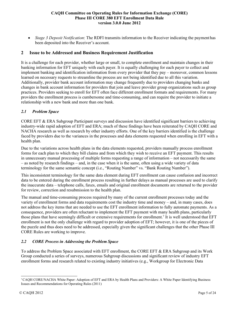• *Stage 3 Deposit Notification*: The RDFI transmits information to the Receiver indicating the payment has been deposited into the Receiver's account.

# <span id="page-4-0"></span>**2 Issue to be Addressed and Business Requirement Justification**

It is a challenge for each provider, whether large or small, to complete enrollment and maintain changes in their banking information for EFT uniquely with each payer. It is equally challenging for each payer to collect and implement banking and identification information from every provider that they pay – moreover, common lessons learned on necessary requests to streamline the process are not being identified due to all this variation. Additionally, provider bank account information may change frequently due to providers changing banks and changes in bank account information for providers that join and leave provider group organizations such as group practices. Providers seeking to enroll for EFT often face different enrollment formats and requirements. For many providers the enrollment process is cumbersome and time-consuming, and can require the provider to initiate a relationship with a new bank and more than one bank.

# <span id="page-4-1"></span>*2.1 Problem Space*

CORE EFT & ERA Subgroup Participant surveys and discussion have identified significant barriers to achieving industry-wide rapid adoption of EFT and ERA; much of these findings have been reiterated by CAQH CORE and NACHA research as well as research by other industry efforts. One of the key barriers identified is the challenge faced by providers due to the variances in the processes and data elements requested when enrolling in EFT with a health plan.

Due to the variations across health plans in the data elements requested, providers manually process enrollment forms for each plan to which they bill claims and from which they wish to receive an EFT payment. This results in unnecessary manual processing of multiple forms requesting a range of information – not necessarily the same – as noted by research findings – and, in the case when it is the same, often using a wide variety of data terminology for the same semantic concept (i.e., "Routing Number" vs. "Bank Routing Number").

This inconsistent terminology for the same data element during EFT enrollment can cause confusion and incorrect data to be entered during the enrollment process resulting in further delays as manual processes are used to clarify the inaccurate data – telephone calls, faxes, emails and original enrollment documents are returned to the provider for review, correction and resubmission to the health plan.

The manual and time-consuming process required by many of the current enrollment processes today and the variety of enrollment forms and data requirements cost the industry time and money – and, in many cases, does not address the key items that are needed to use the EFT enrollment information to fully automate payments. As a consequence, providers are often reluctant to implement the EFT payment with many health plans, particularly those plans that have seemingly difficult or extensive requirements for enrollment.<sup>7</sup> It is well understood that EFT enrollment is not the only challenge with regard to provider adoption of EFT; however, it is one of the pieces of the puzzle and thus does need to be addressed, especially given the significant challenges that the other Phase III CORE Rules are working to improve.

# <span id="page-4-2"></span>*2.2 CORE Process in Addressing the Problem Space*

To address the Problem Space associated with EFT enrollment, the CORE EFT & ERA Subgroup and its Work Group conducted a series of surveys, numerous Subgroup discussions and significant review of industry EFT enrollment forms and research related to existing industry initiatives (e.g., Workgroup for Electronic Data

<sup>7</sup> CAQH CORE/NACHA White Paper: Adoption of EFT and ERA by Health Plans and Providers: A White Paper Identifying Business Issues and Recommendations for Operating Rules (2011)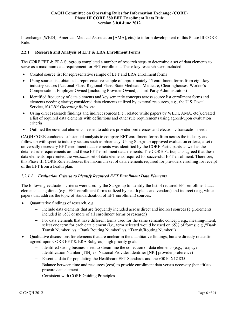Interchange [WEDI], American Medical Association [AMA], etc.) to inform development of this Phase III CORE Rule.

### <span id="page-5-0"></span>**2.2.1 Research and Analysis of EFT & ERA Enrollment Forms**

The CORE EFT & ERA Subgroup completed a number of research steps to determine a set of data elements to serve as a maximum data requirement for EFT enrollment. These key research steps included:

- Created source list for representative sample of EFT and ERA enrollment forms
- Using source list, obtained a representative sample of approximately 45 enrollment forms from eight key industry sectors (National Plans, Regional Plans, State Medicaid, Medicare, Clearinghouses, Worker's Compensation, Employer Owned [including Provider Owned], Third-Party Administrators)
- Identified frequency of data elements and key semantic concepts across source list enrollment forms and elements needing clarity; considered data elements utilized by external resources, e.g., the U.S. Postal Service, *NACHA Operating Rules*, etc.
- Using direct research findings and indirect sources (i.e., related white papers by WEDI, AMA, etc.), created a list of required data elements with definitions and other rule requirements using agreed-upon evaluation criteria
- Outlined the essential elements needed to address provider preferences and electronic transaction needs

CAQH CORE conducted substantial analysis to compare EFT enrollment forms from across the industry and follow up with specific industry sectors such as pharmacy. Using Subgroup-approved evaluation criteria, a set of universally necessary EFT enrollment data elements was identified by the CORE Participants as well as the detailed rule requirements around these EFT enrollment data elements. The CORE Participants agreed that these data elements represented the *maximum* set of data elements required for successful EFT enrollment. Therefore, this Phase III CORE Rule addresses the maximum set of data elements required for providers enrolling for receipt of the EFT from a health plan.

# *2.2.1.1 Evaluation Criteria to Identify Required EFT Enrollment Data Elements*

The following evaluation criteria were used by the Subgroup to identify the list of required EFT enrollment data elements using direct (e.g., EFT enrollment forms utilized by health plans and vendors) and indirect (e.g., white papers that address the topic of standardization of EFT enrollment) sources:

- Quantitative findings of research, e.g.,
	- Include data elements that are frequently included across direct and indirect sources (e.g., elements included in 65% or more of all enrollment forms or research)
	- For data elements that have different terms used for the same semantic concept, e.g., meaning/intent, select one term for each data element (i.e., term selected would be used on 65% of forms; e.g.,"Bank Transit Number" vs. "Bank Routing Number" vs. "Transit/Routing Number")
- Qualitative discussions for elements that are unclear in the quantitative findings, but are directly relatedto agreed-upon CORE EFT & ERA Subgroup high priority goals
	- Identified strong business need to streamline the collection of data elements (e.g.,Taxpayer Identification Number [TIN] vs. National Provider Identifier [NPI] provider preference)
	- Essential data for populating the Healthcare EFT Standards and the v5010 X12 835
	- Balance between time and resources (cost) to provide enrollment data versus necessity (benefit)to procure data element
	- Consistent with CORE Guiding Principles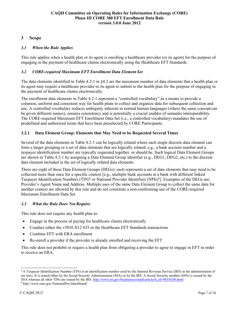# <span id="page-6-0"></span>**3 Scope**

# <span id="page-6-1"></span>*3.1 When the Rule Applies*

This rule applies when a health plan or its agent is enrolling a healthcare provider (or its agent) for the purpose of engaging in the payment of healthcare claims electronically using the Healthcare EFT Standards.

### <span id="page-6-2"></span>*3.2 CORE-required Maximum EFT Enrollment Data Element Set*

The data elements identified in Table 4.2-1 in §4.2 are the maximum number of data elements that a health plan or its agent may require a healthcare provider or its agent to submit to the health plan for the purpose of engaging in the payment of healthcare claims electronically.

The enrollment data elements in Table 4.2-1 represent a "controlled vocabulary" as a means to provide a common, uniform and consistent way for health plans to collect and organize data for subsequent collection and use. A controlled vocabulary reduces ambiguity inherent in normal human languages (where the same concept can be given different names), ensures consistency and is potentially a crucial enabler of semantic interoperability. The CORE-required Maximum EFT Enrollment Data Set (i.e., a controlled vocabulary) mandates the use of predefined and authorized terms that have been preselected by CORE Participants.

# <span id="page-6-3"></span>**3.2.1 Data Element Group: Elements that May Need to be Requested Several Times**

Several of the data elements in Table 4.2-1 can be logically related where each single discrete data element can form a larger grouping or a set of data elements that are logically related, e.g., a bank account number and a taxpayer identification number are typically requested together, or should be. Such logical Data Element Groups are shown in Table 4.2-1 by assigning a Data Element Group identifier (e.g., DEG1, DEG2, etc.) to the discrete data element included in the set of logically related data elements.

There are eight of these Data Element Groups (DEGs); each represents a set of data elements that may need to be collected more than once for a specific context [e.g., multiple bank accounts at a bank with different linked Taxpayer Identification Numbers (TIN)<sup>8</sup> or National Provider Identifiers (NPIs)<sup>9</sup>]. Examples of the DEGs are: Provider's Agent Name and Address. Multiple uses of the same Data Element Group to collect the same data for another context are allowed by this rule and do not constitute a non-conforming use of the CORE-required Maximum Enrollment Data Set.

# <span id="page-6-4"></span>*3.3 What the Rule Does Not Require*

This rule does not require any health plan to:

- Engage in the process of paying for healthcare claims electronically
- Conduct either the v5010 X12 835 or the Healthcare EFT Standards transactions
- Combine EFT with ERA enrollment
- Re-enroll a provider if the provider is already enrolled and receiving the EFT

This rule does not prohibit or require a health plan from obligating a provider to agree to engage in EFT in order to receive an ERA.

<sup>&</sup>lt;sup>8</sup> A Taxpayer Identification Number (TIN) is an identification number used by the Internal Revenue Service (IRS) in the administration of tax laws. It is issued either by the Social Security Administration (SSA) or by the IRS. A Social Security number (SSN) is issued by the SSA whereas all other TINs are issued by the IRS[. http://www.irs.gov/businesses/small/article/0,,id=98350,00.html](http://www.irs.gov/businesses/small/article/0%2C%2Cid%3D98350%2C00.html)

[<sup>9</sup> http://www.cms.gov/NationalProvIdentStand/](http://www.cms.gov/NationalProvIdentStand/)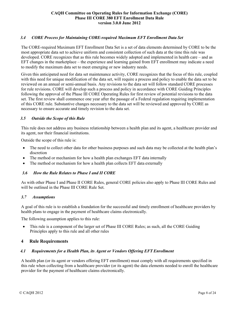### <span id="page-7-0"></span>*3.4 CORE Process for Maintaining CORE-required Maximum EFT Enrollment Data Set*

The CORE-required Maximum EFT Enrollment Data Set is a set of data elements determined by CORE to be the most appropriate data set to achieve uniform and consistent collection of such data at the time this rule was developed. CORE recognizes that as this rule becomes widely adopted and implemented in health care – and as EFT changes in the marketplace – the experience and learning gained from EFT enrollment may indicate a need to modify the maximum data set to meet emerging or new industry needs.

Given this anticipated need for data set maintenance activity, CORE recognizes that the focus of this rule, coupled with this need for unique modification of the data set, will require a process and policy to enable the data set to be reviewed on an annual or semi-annual basis. Any revisions to the data set will follow standard CORE processes for rule revisions. CORE will develop such a process and policy in accordance with CORE Guiding Principles following the approval of the Phase III CORE Operating Rules for first review of potential revisions to the data set. The first review shall commence one year after the passage of a Federal regulation requiring implementation of this CORE rule. Substantive changes necessary to the data set will be reviewed and approved by CORE as necessary to ensure accurate and timely revision to the data set.

#### <span id="page-7-1"></span>*3.5 Outside the Scope of this Rule*

This rule does not address any business relationship between a health plan and its agent, a healthcare provider and its agent, nor their financial institutions.

Outside the scope of this rule is:

- The need to collect other data for other business purposes and such data may be collected at the health plan's discretion
- The method or mechanism for how a health plan exchanges EFT data internally
- The method or mechanism for how a health plan collects EFT data externally

### <span id="page-7-2"></span>*3.6 How the Rule Relates to Phase I and II CORE*

As with other Phase I and Phase II CORE Rules, general CORE policies also apply to Phase III CORE Rules and will be outlined in the Phase III CORE Rule Set.

#### <span id="page-7-3"></span>*3.7 Assumptions*

A goal of this rule is to establish a foundation for the successful and timely enrollment of healthcare providers by health plans to engage in the payment of healthcare claims electronically.

The following assumption applies to this rule:

• This rule is a component of the larger set of Phase III CORE Rules; as such, all the CORE Guiding Principles apply to this rule and all other rules

### <span id="page-7-4"></span>**4 Rule Requirements**

### <span id="page-7-5"></span>*4.1 Requirements for a Health Plan, its Agent or Vendors Offering EFT Enrollment*

A health plan (or its agent or vendors offering EFT enrollment) must comply with all requirements specified in this rule when collecting from a healthcare provider (or its agent) the data elements needed to enroll the healthcare provider for the payment of healthcare claims electronically.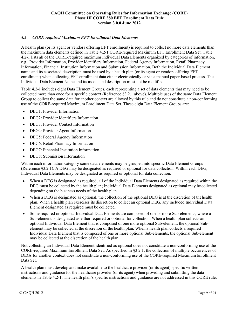### <span id="page-8-0"></span>*4.2 CORE-required Maximum EFT Enrollment Data Elements*

A health plan (or its agent or vendors offering EFT enrollment) is required to collect no more data elements than the maximum data elements defined in Table 4.2-1 CORE-required Maximum EFT Enrollment Data Set. Table 4.2-1 lists all of the CORE-required maximum Individual Data Elements organized by categories of information, e.g., Provider Information, Provider Identifiers Information, Federal Agency Information, Retail Pharmacy Information, Financial Institution Information and Submission Information. Both the Individual Data Element name and its associated description must be used by a health plan (or its agent or vendors offering EFT enrollment) when collecting EFT enrollment data either electronically or via a manual paper-based process. The Individual Data Element Name and its associated description must not be modified.

Table 4.2-1 includes eight Data Element Groups, each representing a set of data elements that may need to be collected more than once for a specific context (Reference §3.2.1 above). Multiple uses of the same Data Element Group to collect the same data for another context are allowed by this rule and do not constitute a non-conforming use of the CORE-required Maximum Enrollment Data Set. These eight Data Element Groups are:

- DEG1: Provider Information
- DEG2: Provider Identifiers Information
- DEG3: Provider Contact Information
- DEG4: Provider Agent Information
- DEG5: Federal Agency Information
- DEG6: Retail Pharmacy Information
- DEG7: Financial Institution Information
- DEG8: Submission Information

Within each information category some data elements may be grouped into specific Data Element Groups (Reference §3.2.1). A DEG may be designated as required or optional for data collection. Within each DEG, Individual Data Elements may be designated as required or optional for data collection.

- When a DEG is designated as required, all of the Individual Data Elements designated as required within the DEG must be collected by the health plan; Individual Data Elements designated as optional may be collected depending on the business needs of the health plan.
- When a DEG is designated as optional, the collection of the optional DEG is at the discretion of thehealth plan. When a health plan exercises its discretion to collect an optional DEG, any included Individual Data Element designated as required must be collected.
- Some required or optional Individual Data Elements are composed of one or more Sub-elements, where a Sub-element is designated as either required or optional for collection. When a health plan collects an optional Individual Data Element that is composed of one more optional Sub-element, the optional Subelement may be collected at the discretion of the health plan. When a health plan collects a required Individual Data Element that is composed of one or more optional Sub-elements, the optional Sub-element may be collected at the discretion of the health plan.

Not collecting an Individual Data Element identified as optional does not constitute a non-conforming use of the CORE-required Maximum Enrollment Data Set. As specified in §3.2.1, the collection of multiple occurrences of DEGs for another context does not constitute a non-conforming use of the CORE-required Maximum Enrollment Data Set.

A health plan must develop and make available to the healthcare provider (or its agent) specific written instructions and guidance for the healthcare provider (or its agent) when providing and submitting the data elements in Table 4.2-1. The health plan's specific instructions and guidance are not addressed in this CORE rule.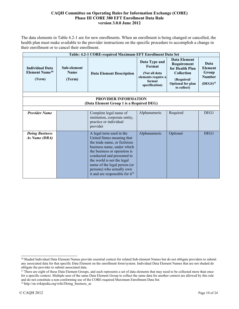The data elements in Table 4.2-1 are for new enrollments. When an enrollment is being changed or cancelled, the health plan must make available to the provider instructions on the specific procedure to accomplish a change in their enrollment or to cancel their enrollment.

| Table: 4.2-1 CORE-required Maximum EFT Enrollment Data Set           |                                      |                                                                                                                                                                                                                                                                                                                               |                                                                                            |                                                                                                                              |                                                                   |  |  |  |
|----------------------------------------------------------------------|--------------------------------------|-------------------------------------------------------------------------------------------------------------------------------------------------------------------------------------------------------------------------------------------------------------------------------------------------------------------------------|--------------------------------------------------------------------------------------------|------------------------------------------------------------------------------------------------------------------------------|-------------------------------------------------------------------|--|--|--|
| <b>Individual Data</b><br><b>Element Name<sup>10</sup></b><br>(Term) | Sub-element<br><b>Name</b><br>(Term) | <b>Data Element Description</b>                                                                                                                                                                                                                                                                                               | Data Type and<br>Format<br>(Not all data<br>elements require a<br>format<br>specification) | <b>Data Element</b><br>Requirement<br>for Health Plan<br>Collection<br>(Required/<br><b>Optional for plan</b><br>to collect) | Data<br><b>Element</b><br>Group<br><b>Number</b><br>$(DEG#)^{11}$ |  |  |  |
|                                                                      | <b>PROVIDER INFORMATION</b>          |                                                                                                                                                                                                                                                                                                                               |                                                                                            |                                                                                                                              |                                                                   |  |  |  |
|                                                                      |                                      | (Data Element Group 1 is a Required DEG)                                                                                                                                                                                                                                                                                      |                                                                                            |                                                                                                                              |                                                                   |  |  |  |
|                                                                      |                                      |                                                                                                                                                                                                                                                                                                                               |                                                                                            |                                                                                                                              |                                                                   |  |  |  |
| <b>Provider Name</b>                                                 |                                      | Complete legal name of<br>institution, corporate entity,<br>practice or individual<br>provider                                                                                                                                                                                                                                | Alphanumeric                                                                               | Required                                                                                                                     | DEG1                                                              |  |  |  |
| <b>Doing Business</b><br>As Name (DBA)                               |                                      | A legal term used in the<br>United States meaning that<br>the trade name, or fictitious<br>business name, under which<br>the business or operation is<br>conducted and presented to<br>the world is not the legal<br>name of the legal person (or<br>persons) who actually own<br>it and are responsible for it <sup>12</sup> | Alphanumeric                                                                               | Optional                                                                                                                     | DEG1                                                              |  |  |  |

<sup>&</sup>lt;sup>10</sup> Shaded Individual Data Element Names provide essential context for related Sub-element Names but do not obligate providers to submit any associated data for that specific Data Element on the enrollment form/system. Individual Data Element Names that are not shaded do obligate the provider to submit associated data.

<sup>&</sup>lt;sup>11</sup> There are eight of these Data Element Groups, and each represents a set of data elements that may need to be collected more than once for a specific context. Multiple uses of the same Data Element Group to collect the same data for another context are allowed by this rule and do not constitute a non-conforming use of the CORE-required Maximum Enrollment Data Set.

<sup>&</sup>lt;sup>12</sup> http://en.wikipedia.org/wiki/Doing\_business\_as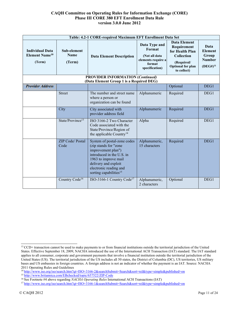|                                                                      | Table: 4.2-1 CORE-required Maximum EFT Enrollment Data Set |                                                                                                                                                                                                                         |                                                                                            |                                                                                                                                     |                                                                   |  |  |
|----------------------------------------------------------------------|------------------------------------------------------------|-------------------------------------------------------------------------------------------------------------------------------------------------------------------------------------------------------------------------|--------------------------------------------------------------------------------------------|-------------------------------------------------------------------------------------------------------------------------------------|-------------------------------------------------------------------|--|--|
| <b>Individual Data</b><br><b>Element Name<sup>10</sup></b><br>(Term) | Sub-element<br><b>Name</b><br>(Term)                       | <b>Data Element Description</b>                                                                                                                                                                                         | Data Type and<br>Format<br>(Not all data<br>elements require a<br>format<br>specification) | <b>Data Element</b><br>Requirement<br>for Health Plan<br><b>Collection</b><br>(Required/<br><b>Optional for plan</b><br>to collect) | Data<br><b>Element</b><br>Group<br><b>Number</b><br>$(DEG#)^{11}$ |  |  |
|                                                                      |                                                            | <b>PROVIDER INFORMATION (Continued)</b><br>(Data Element Group 1 is a Required DEG)                                                                                                                                     |                                                                                            |                                                                                                                                     |                                                                   |  |  |
| <b>Provider Address</b>                                              |                                                            |                                                                                                                                                                                                                         |                                                                                            | Optional                                                                                                                            | DEG1                                                              |  |  |
|                                                                      | <b>Street</b>                                              | The number and street name<br>where a person or<br>organization can be found                                                                                                                                            | Alphanumeric                                                                               | Required                                                                                                                            | DEG1                                                              |  |  |
|                                                                      | City                                                       | City associated with<br>provider address field                                                                                                                                                                          | Alphanumeric                                                                               | Required                                                                                                                            | DEG1                                                              |  |  |
|                                                                      | State/Province <sup>13</sup>                               | ISO 3166-2 Two Character<br>Code associated with the<br>State/Province/Region of<br>the applicable Country <sup>14</sup>                                                                                                | Alpha                                                                                      | Required                                                                                                                            | DEG1                                                              |  |  |
|                                                                      | <b>ZIP Code/Postal</b><br>Code                             | System of postal-zone codes<br>(zip stands for "zone<br>improvement plan")<br>introduced in the U.S. in<br>1963 to improve mail<br>delivery and exploit<br>electronic reading and<br>sorting capabilities <sup>15</sup> | Alphanumeric,<br>15 characters                                                             | Required                                                                                                                            | DEG1                                                              |  |  |
|                                                                      | Country Code <sup>16</sup>                                 | ISO-3166-1 Country Code <sup>17</sup>                                                                                                                                                                                   | Alphanumeric,<br>2 characters                                                              | Optional                                                                                                                            | DEG1                                                              |  |  |

<sup>&</sup>lt;sup>13</sup> CCD+ transaction cannot be used to make payments to or from financial institutions outside the territorial jurisdiction of the United States. Effective September 18, 2009, NACHA introduced the use of the International ACH Transaction (IAT) standard. The IAT standard applies to all consumer, corporate and government payments that involve a financial institution outside the territorial jurisdiction of the United States (US). The territorial jurisdiction of the US includes all 50 states, the District of Columbia (DC), US territories, US military bases and US embassies in foreign countries. A foreign address is not an indicator of whether the payment is an IAT. Source: NACHA 2011 Operating Rules and Guidelines

<sup>1</sup>[4 http://www.iso.org/iso/search.htm?qt=ISO+3166-2&searchSubmit=Search&sort=rel&type=simple&published=on](http://www.iso.org/iso/search.htm?qt=ISO%2B3166-2&searchSubmit=Search&sort=rel&type=simple&published=on)

<sup>1</sup>[5 http://www.britannica.com/EBchecked/topic/657522/ZIP-Code](http://www.britannica.com/EBchecked/topic/657522/ZIP-Code)

<sup>16</sup> See Footnote #4 above regarding *NACHA Operating Rules* International ACH Transactions (IAT)

<sup>1</sup>[7 http://www.iso.org/iso/search.htm?qt=ISO+3166-1&searchSubmit=Search&sort=rel&type=simple&published=on](http://www.iso.org/iso/search.htm?qt=ISO%2B3166-1&searchSubmit=Search&sort=rel&type=simple&published=on)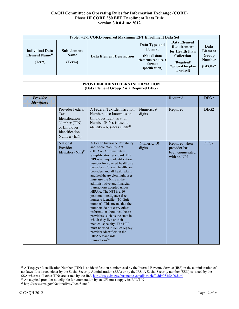| Table: 4.2-1 CORE-required Maximum EFT Enrollment Data Set           |                                                                                                            |                                                                                                                                                                                                                                                                                                                                                                                                                                                                                                                                                                                                                                                                                                                                                                                                   |                                                                                            |                                                                                                                              |                                                                   |
|----------------------------------------------------------------------|------------------------------------------------------------------------------------------------------------|---------------------------------------------------------------------------------------------------------------------------------------------------------------------------------------------------------------------------------------------------------------------------------------------------------------------------------------------------------------------------------------------------------------------------------------------------------------------------------------------------------------------------------------------------------------------------------------------------------------------------------------------------------------------------------------------------------------------------------------------------------------------------------------------------|--------------------------------------------------------------------------------------------|------------------------------------------------------------------------------------------------------------------------------|-------------------------------------------------------------------|
| <b>Individual Data</b><br><b>Element Name<sup>10</sup></b><br>(Term) | Sub-element<br><b>Name</b><br>(Term)                                                                       | <b>Data Element Description</b>                                                                                                                                                                                                                                                                                                                                                                                                                                                                                                                                                                                                                                                                                                                                                                   | Data Type and<br>Format<br>(Not all data<br>elements require a<br>format<br>specification) | <b>Data Element</b><br>Requirement<br>for Health Plan<br>Collection<br>(Required/<br><b>Optional for plan</b><br>to collect) | Data<br><b>Element</b><br>Group<br><b>Number</b><br>$(DEG#)^{11}$ |
|                                                                      |                                                                                                            |                                                                                                                                                                                                                                                                                                                                                                                                                                                                                                                                                                                                                                                                                                                                                                                                   |                                                                                            |                                                                                                                              |                                                                   |
|                                                                      |                                                                                                            | PROVIDER IDENTIFIERS INFORMATION<br>(Data Element Group 2 is a Required DEG)                                                                                                                                                                                                                                                                                                                                                                                                                                                                                                                                                                                                                                                                                                                      |                                                                                            |                                                                                                                              |                                                                   |
| <b>Provider</b><br><b>Identifiers</b>                                |                                                                                                            |                                                                                                                                                                                                                                                                                                                                                                                                                                                                                                                                                                                                                                                                                                                                                                                                   |                                                                                            | Required                                                                                                                     | DEG <sub>2</sub>                                                  |
|                                                                      | Provider Federal<br>Tax<br>Identification<br>Number (TIN)<br>or Employer<br>Identification<br>Number (EIN) | A Federal Tax Identification<br>Number, also known as an<br><b>Employer Identification</b><br>Number (EIN), is used to<br>identify a business entity <sup>18</sup>                                                                                                                                                                                                                                                                                                                                                                                                                                                                                                                                                                                                                                | Numeric, 9<br>digits                                                                       | Required                                                                                                                     | DEG <sub>2</sub>                                                  |
|                                                                      | National<br>Provider<br>Identifier (NPI) <sup>19</sup>                                                     | A Health Insurance Portability<br>and Accountability Act<br>(HIPAA) Administrative<br>Simplification Standard. The<br>NPI is a unique identification<br>number for covered healthcare<br>providers. Covered healthcare<br>providers and all health plans<br>and healthcare clearinghouses<br>must use the NPIs in the<br>administrative and financial<br>transactions adopted under<br>HIPAA. The NPI is a 10-<br>position, intelligence-free<br>numeric identifier (10-digit<br>number). This means that the<br>numbers do not carry other<br>information about healthcare<br>providers, such as the state in<br>which they live or their<br>medical specialty. The NPI<br>must be used in lieu of legacy<br>provider identifiers in the<br><b>HIPAA</b> standards<br>transactions <sup>20</sup> | Numeric, 10<br>digits                                                                      | Required when<br>provider has<br>been enumerated<br>with an NPI                                                              | DEG <sub>2</sub>                                                  |

<sup>&</sup>lt;sup>18</sup> A Taxpayer Identification Number (TIN) is an identification number used by the Internal Revenue Service (IRS) in the administration of tax laws. It is issued either by the Social Security Administration (SSA) or by the IRS. A Social Security number (SSN) is issued by the SSA whereas all other TINs are issued by the IRS[. http://www.irs.gov/businesses/small/article/0,,id=98350,00.html](http://www.irs.gov/businesses/small/article/0%2C%2Cid%3D98350%2C00.html)

<sup>&</sup>lt;sup>19</sup> An atypical provider not eligible for enumeration by an NPI must supply its EIN/TIN

<sup>2</sup>[0 http://www.cms.gov/NationalProvIdentStand/](http://www.cms.gov/NationalProvIdentStand/)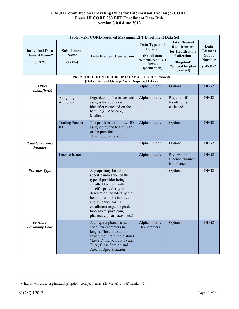| Table: 4.2-1 CORE-required Maximum EFT Enrollment Data Set           |                               |                                                                                                                                                                                                                                                                                                                        |                                                                                            |                                                                                                                                     |                                                                   |  |
|----------------------------------------------------------------------|-------------------------------|------------------------------------------------------------------------------------------------------------------------------------------------------------------------------------------------------------------------------------------------------------------------------------------------------------------------|--------------------------------------------------------------------------------------------|-------------------------------------------------------------------------------------------------------------------------------------|-------------------------------------------------------------------|--|
| <b>Individual Data</b><br><b>Element Name<sup>10</sup></b><br>(Term) | Sub-element<br>Name<br>(Term) | <b>Data Element Description</b>                                                                                                                                                                                                                                                                                        | Data Type and<br>Format<br>(Not all data<br>elements require a<br>format<br>specification) | <b>Data Element</b><br>Requirement<br>for Health Plan<br><b>Collection</b><br>(Required/<br><b>Optional for plan</b><br>to collect) | Data<br><b>Element</b><br>Group<br><b>Number</b><br>$(DEG#)^{11}$ |  |
|                                                                      |                               | PROVIDER IDENTIFIERS INFORMATION (Continued)<br>(Data Element Group 2 is a Required DEG)                                                                                                                                                                                                                               |                                                                                            |                                                                                                                                     |                                                                   |  |
| <b>Other</b>                                                         |                               |                                                                                                                                                                                                                                                                                                                        | Alphanumeric                                                                               | Optional                                                                                                                            | DEG <sub>2</sub>                                                  |  |
| <i>Identifier(s)</i>                                                 |                               |                                                                                                                                                                                                                                                                                                                        |                                                                                            |                                                                                                                                     |                                                                   |  |
|                                                                      | Assigning<br>Authority        | Organization that issues and<br>assigns the additional<br>identifier requested on the<br>form, e.g., Medicare,<br>Medicaid                                                                                                                                                                                             | Alphanumeric                                                                               | Required if<br>Identifier is<br>collected                                                                                           | DEG <sub>2</sub>                                                  |  |
|                                                                      | <b>Trading Partner</b><br>ID  | The provider's submitter ID<br>assigned by the health plan<br>or the provider's<br>clearinghouse or vendor                                                                                                                                                                                                             | Alphanumeric                                                                               | Optional                                                                                                                            | DEG <sub>2</sub>                                                  |  |
| <b>Provider License</b><br><b>Number</b>                             |                               |                                                                                                                                                                                                                                                                                                                        | Alphanumeric                                                                               | Optional                                                                                                                            | DEG <sub>2</sub>                                                  |  |
|                                                                      | License Issuer                |                                                                                                                                                                                                                                                                                                                        | Alphanumeric                                                                               | Required if<br>License Number<br>is collected                                                                                       | DEG <sub>2</sub>                                                  |  |
| <b>Provider Type</b>                                                 |                               | A proprietary health plan-<br>specific indication of the<br>type of provider being<br>enrolled for EFT with<br>specific provider type<br>description included by the<br>health plan in its instruction<br>and guidance for EFT<br>enrollment (e.g., hospital,<br>laboratory, physician,<br>pharmacy, pharmacist, etc.) |                                                                                            | Optional                                                                                                                            | DEG <sub>2</sub>                                                  |  |
| <b>Provider</b><br><b>Taxonomy Code</b>                              |                               | A unique alphanumeric<br>code, ten characters in<br>length. The code set is<br>structured into three distinct<br>"Levels" including Provider<br>Type, Classification and<br>Area of Specialization <sup>21</sup>                                                                                                       | Alphanumeric,<br>10 characters                                                             | Optional                                                                                                                            | DEG <sub>2</sub>                                                  |  |

<sup>2</sup>[1 http://www.nucc.org/index.php?option=com\\_content&task=view&id=14&Itemid=40](http://www.nucc.org/index.php?option=com_content&task=view&id=14&Itemid=40)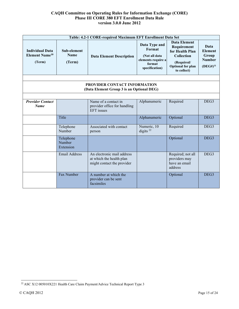| Table: 4.2-1 CORE-required Maximum EFT Enrollment Data Set           |                                      |                                                                                      |                                                                                            |                                                                                                                                     |                                                                   |  |
|----------------------------------------------------------------------|--------------------------------------|--------------------------------------------------------------------------------------|--------------------------------------------------------------------------------------------|-------------------------------------------------------------------------------------------------------------------------------------|-------------------------------------------------------------------|--|
| <b>Individual Data</b><br><b>Element Name<sup>10</sup></b><br>(Term) | Sub-element<br><b>Name</b><br>(Term) | <b>Data Element Description</b>                                                      | Data Type and<br>Format<br>(Not all data<br>elements require a<br>format<br>specification) | <b>Data Element</b><br>Requirement<br>for Health Plan<br><b>Collection</b><br>(Required/<br><b>Optional for plan</b><br>to collect) | Data<br><b>Element</b><br>Group<br><b>Number</b><br>$(DEG#)^{11}$ |  |
|                                                                      |                                      |                                                                                      |                                                                                            |                                                                                                                                     |                                                                   |  |
|                                                                      |                                      | PROVIDER CONTACT INFORMATION<br>(Data Element Group 3 is an Optional DEG)            |                                                                                            |                                                                                                                                     |                                                                   |  |
|                                                                      |                                      |                                                                                      |                                                                                            |                                                                                                                                     |                                                                   |  |
| <b>Provider Contact</b><br><b>Name</b>                               |                                      | Name of a contact in<br>provider office for handling<br><b>EFT</b> issues            | Alphanumeric                                                                               | Required                                                                                                                            | DEG3                                                              |  |
|                                                                      | Title                                |                                                                                      | Alphanumeric                                                                               | Optional                                                                                                                            | DEG <sub>3</sub>                                                  |  |
|                                                                      | Telephone<br>Number                  | Associated with contact<br>person                                                    | Numeric, 10<br>digits $^{22}$                                                              | Required                                                                                                                            | DEG3                                                              |  |
|                                                                      | Telephone<br>Number<br>Extension     |                                                                                      |                                                                                            | Optional                                                                                                                            | DEG3                                                              |  |
|                                                                      | Email Address                        | An electronic mail address<br>at which the health plan<br>might contact the provider |                                                                                            | Required; not all<br>providers may<br>have an email<br>address                                                                      | DEG <sub>3</sub>                                                  |  |
|                                                                      | Fax Number                           | A number at which the<br>provider can be sent<br>facsimiles                          |                                                                                            | Optional                                                                                                                            | DEG <sub>3</sub>                                                  |  |

 $^{22}\rm{ASC}$  X12 005010X221 Health Care Claim Payment/Advice Technical Report Type 3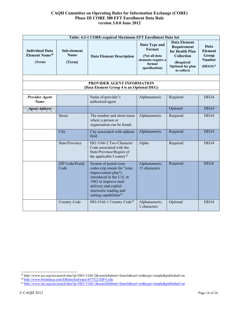| Table: 4.2-1 CORE-required Maximum EFT Enrollment Data Set              |                                      |                                                                                                                                                                                                                         |                                                                                            |                                                                                                                                     |                                                                   |  |  |  |
|-------------------------------------------------------------------------|--------------------------------------|-------------------------------------------------------------------------------------------------------------------------------------------------------------------------------------------------------------------------|--------------------------------------------------------------------------------------------|-------------------------------------------------------------------------------------------------------------------------------------|-------------------------------------------------------------------|--|--|--|
| <b>Individual Data</b><br><b>Element Name<sup>10</sup></b><br>(Term)    | Sub-element<br><b>Name</b><br>(Term) | <b>Data Element Description</b>                                                                                                                                                                                         | Data Type and<br>Format<br>(Not all data<br>elements require a<br>format<br>specification) | <b>Data Element</b><br>Requirement<br>for Health Plan<br><b>Collection</b><br>(Required/<br><b>Optional for plan</b><br>to collect) | Data<br><b>Element</b><br>Group<br><b>Number</b><br>$(DEG#)^{11}$ |  |  |  |
| PROVIDER AGENT INFORMATION<br>(Data Element Group 4 is an Optional DEG) |                                      |                                                                                                                                                                                                                         |                                                                                            |                                                                                                                                     |                                                                   |  |  |  |
|                                                                         |                                      |                                                                                                                                                                                                                         |                                                                                            |                                                                                                                                     |                                                                   |  |  |  |
| <b>Provider Agent</b><br><b>Name</b>                                    |                                      | Name of provider's<br>authorized agent                                                                                                                                                                                  | Alphanumeric                                                                               | Required                                                                                                                            | DEG4                                                              |  |  |  |
| <b>Agent Address</b>                                                    |                                      |                                                                                                                                                                                                                         |                                                                                            | Optional                                                                                                                            | DEG4                                                              |  |  |  |
|                                                                         | <b>Street</b>                        | The number and street name<br>where a person or<br>organization can be found                                                                                                                                            | Alphanumeric                                                                               | Required                                                                                                                            | DEG4                                                              |  |  |  |
|                                                                         | City                                 | City associated with address<br>field                                                                                                                                                                                   | Alphanumeric                                                                               | Required                                                                                                                            | DEG4                                                              |  |  |  |
|                                                                         | State/Province                       | ISO 3166-2 Two Character<br>Code associated with the<br>State/Province/Region of<br>the applicable Country <sup>23</sup>                                                                                                | Alpha                                                                                      | Required                                                                                                                            | DEG4                                                              |  |  |  |
|                                                                         | <b>ZIP</b> Code/Postal<br>Code       | System of postal-zone<br>codes (zip stands for "zone<br>improvement plan")<br>introduced in the U.S. in<br>1963 to improve mail<br>delivery and exploit<br>electronic reading and<br>sorting capabilities <sup>24</sup> | Alphanumeric,<br>15 characters                                                             | Required                                                                                                                            | DEG4                                                              |  |  |  |
|                                                                         | Country Code                         | ISO-3166-1 Country Code <sup>25</sup>                                                                                                                                                                                   | Alphanumeric,<br>2 characters                                                              | Optional                                                                                                                            | DEG4                                                              |  |  |  |

<sup>2</sup>[3 http://www.iso.org/iso/search.htm?qt=ISO+3166-2&searchSubmit=Search&sort=rel&type=simple&published=on](http://www.iso.org/iso/search.htm?qt=ISO%2B3166-2&searchSubmit=Search&sort=rel&type=simple&published=on)

<sup>&</sup>lt;sup>24</sup> http://www.britannica.com/EBchecked/topic/657522/ZIP-Code

<sup>2</sup>[5 http://www.iso.org/iso/search.htm?qt=ISO+3166-1&searchSubmit=Search&sort=rel&type=simple&published=on](http://www.iso.org/iso/search.htm?qt=ISO%2B3166-1&searchSubmit=Search&sort=rel&type=simple&published=on)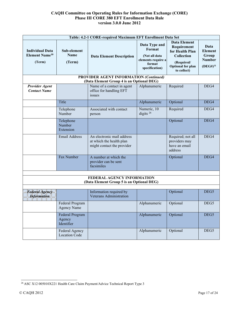|                                                                      | Table: 4.2-1 CORE-required Maximum EFT Enrollment Data Set |                                                                                            |                                                                                            |                                                                                                                              |                                                                   |  |
|----------------------------------------------------------------------|------------------------------------------------------------|--------------------------------------------------------------------------------------------|--------------------------------------------------------------------------------------------|------------------------------------------------------------------------------------------------------------------------------|-------------------------------------------------------------------|--|
| <b>Individual Data</b><br><b>Element Name<sup>10</sup></b><br>(Term) | Sub-element<br><b>Name</b><br>(Term)                       | <b>Data Element Description</b>                                                            | Data Type and<br>Format<br>(Not all data<br>elements require a<br>format<br>specification) | <b>Data Element</b><br>Requirement<br>for Health Plan<br>Collection<br>(Required/<br><b>Optional for plan</b><br>to collect) | Data<br><b>Element</b><br>Group<br><b>Number</b><br>$(DEG#)^{11}$ |  |
|                                                                      |                                                            | <b>PROVIDER AGENT INFORMATION (Continued)</b><br>(Data Element Group 4 is an Optional DEG) |                                                                                            |                                                                                                                              |                                                                   |  |
| <b>Provider Agent</b><br><b>Contact Name</b>                         |                                                            | Name of a contact in agent<br>office for handling EFT<br>issues                            | Alphanumeric                                                                               | Required                                                                                                                     | DEG4                                                              |  |
|                                                                      | Title                                                      |                                                                                            | Alphanumeric                                                                               | Optional                                                                                                                     | DEG4                                                              |  |
|                                                                      | Telephone<br>Number                                        | Associated with contact<br>person                                                          | Numeric, 10<br>digits $^{26}$                                                              | Required                                                                                                                     | DEG4                                                              |  |
|                                                                      | Telephone<br>Number<br>Extension                           |                                                                                            |                                                                                            | Optional                                                                                                                     | DEG4                                                              |  |
|                                                                      | Email Address                                              | An electronic mail address<br>at which the health plan<br>might contact the provider       |                                                                                            | Required; not all<br>providers may<br>have an email<br>address                                                               | DEG4                                                              |  |
|                                                                      | Fax Number                                                 | A number at which the<br>provider can be sent<br>facsimiles                                |                                                                                            | Optional                                                                                                                     | DEG4                                                              |  |
|                                                                      |                                                            | FEDERAL AGENCY INFORMATION<br>(Data Element Group 5 is an Optional DEG)                    |                                                                                            |                                                                                                                              |                                                                   |  |
|                                                                      |                                                            |                                                                                            |                                                                                            |                                                                                                                              |                                                                   |  |
| <b>Federal Agency</b><br><b>Information</b>                          |                                                            | Information required by<br>Veterans Administration                                         |                                                                                            | Optional                                                                                                                     | DEG5                                                              |  |
|                                                                      | Federal Program<br><b>Agency Name</b>                      |                                                                                            | Alphanumeric                                                                               | Optional                                                                                                                     | DEG5                                                              |  |
|                                                                      | Federal Program<br>Agency<br>Identifier                    |                                                                                            | Alphanumeric                                                                               | Optional                                                                                                                     | DEG5                                                              |  |
|                                                                      | Federal Agency<br><b>Location Code</b>                     |                                                                                            | Alphanumeric                                                                               | Optional                                                                                                                     | DEG5                                                              |  |

<sup>26</sup> ASC X12 005010X221 Health Care Claim Payment/Advice Technical Report Type 3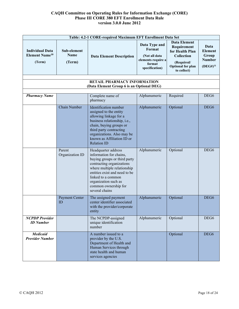| Table: 4.2-1 CORE-required Maximum EFT Enrollment Data Set           |                                      |                                                                                                                                                                                                                                                                     |                                                                                            |                                                                                                                              |                                                                   |
|----------------------------------------------------------------------|--------------------------------------|---------------------------------------------------------------------------------------------------------------------------------------------------------------------------------------------------------------------------------------------------------------------|--------------------------------------------------------------------------------------------|------------------------------------------------------------------------------------------------------------------------------|-------------------------------------------------------------------|
| <b>Individual Data</b><br><b>Element Name<sup>10</sup></b><br>(Term) | Sub-element<br><b>Name</b><br>(Term) | <b>Data Element Description</b>                                                                                                                                                                                                                                     | Data Type and<br>Format<br>(Not all data<br>elements require a<br>format<br>specification) | <b>Data Element</b><br>Requirement<br>for Health Plan<br>Collection<br>(Required/<br><b>Optional for plan</b><br>to collect) | Data<br><b>Element</b><br>Group<br><b>Number</b><br>$(DEG#)^{11}$ |
|                                                                      |                                      | <b>RETAIL PHARMACY INFORMATION</b><br>(Data Element Group 6 is an Optional DEG)                                                                                                                                                                                     |                                                                                            |                                                                                                                              |                                                                   |
| <b>Pharmacy Name</b>                                                 |                                      | Complete name of<br>pharmacy                                                                                                                                                                                                                                        | Alphanumeric                                                                               | Required                                                                                                                     | DEG <sub>6</sub>                                                  |
|                                                                      | Chain Number                         | Identification number<br>assigned to the entity<br>allowing linkage for a<br>business relationship, i.e.,<br>chain, buying groups or<br>third party contracting<br>organizations. Also may be<br>known as Affiliation ID or<br><b>Relation ID</b>                   | Alphanumeric                                                                               | Optional                                                                                                                     | DEG <sub>6</sub>                                                  |
|                                                                      | Parent<br>Organization ID            | Headquarter address<br>information for chains,<br>buying groups or third party<br>contracting organizations<br>where multiple relationship<br>entities exist and need to be<br>linked to a common<br>organization such as<br>common ownership for<br>several chains | Alphanumeric                                                                               | Optional                                                                                                                     | DEG <sub>6</sub>                                                  |
|                                                                      | Payment Center<br>ID                 | The assigned payment<br>center identifier associated<br>with the provider/corporate<br>entity                                                                                                                                                                       | Alphanumeric                                                                               | Optional                                                                                                                     | DEG <sub>6</sub>                                                  |
| <b>NCPDP</b> Provider<br><b>ID</b> Number                            |                                      | The NCPDP-assigned<br>unique identification<br>number                                                                                                                                                                                                               | Alphanumeric                                                                               | Optional                                                                                                                     | DEG <sub>6</sub>                                                  |
| <b>Medicaid</b><br><b>Provider Number</b>                            |                                      | A number issued to a<br>provider by the U.S.<br>Department of Health and<br>Human Services through<br>state health and human<br>services agencies                                                                                                                   |                                                                                            | Optional                                                                                                                     | DEG <sub>6</sub>                                                  |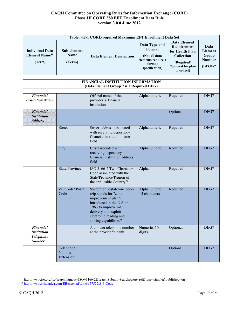| Table: 4.2-1 CORE-required Maximum EFT Enrollment Data Set                  |                                      |                                                                                                                                                                                                                         |                                                                                            |                                                                                                                              |                                                                   |
|-----------------------------------------------------------------------------|--------------------------------------|-------------------------------------------------------------------------------------------------------------------------------------------------------------------------------------------------------------------------|--------------------------------------------------------------------------------------------|------------------------------------------------------------------------------------------------------------------------------|-------------------------------------------------------------------|
| <b>Individual Data</b><br><b>Element Name<sup>10</sup></b><br>(Term)        | Sub-element<br><b>Name</b><br>(Term) | <b>Data Element Description</b>                                                                                                                                                                                         | Data Type and<br>Format<br>(Not all data<br>elements require a<br>format<br>specification) | <b>Data Element</b><br>Requirement<br>for Health Plan<br>Collection<br>(Required/<br><b>Optional for plan</b><br>to collect) | Data<br><b>Element</b><br>Group<br><b>Number</b><br>$(DEG#)^{11}$ |
|                                                                             |                                      | FINANCIAL INSTITUTION INFORMATION<br>(Data Element Group 7 is a Required DEG)                                                                                                                                           |                                                                                            |                                                                                                                              |                                                                   |
| <b>Financial</b><br><b>Institution Name</b>                                 |                                      | Official name of the<br>provider's financial<br>institution                                                                                                                                                             | Alphanumeric                                                                               | Required                                                                                                                     | DEG7                                                              |
| <b>Financial</b><br><b>Institution</b><br><b>Address</b>                    |                                      |                                                                                                                                                                                                                         |                                                                                            | Optional                                                                                                                     | DEG7                                                              |
|                                                                             | <b>Street</b>                        | Street address associated<br>with receiving depository<br>financial institution name<br>field                                                                                                                           | Alphanumeric                                                                               | Required                                                                                                                     | DEG7                                                              |
|                                                                             | City                                 | City associated with<br>receiving depository<br>financial institution address<br>field                                                                                                                                  | Alphanumeric                                                                               | Required                                                                                                                     | DEG7                                                              |
|                                                                             | State/Province                       | ISO 3166-2 Two Character<br>Code associated with the<br>State/Province/Region of<br>the applicable Country <sup>27</sup>                                                                                                | Alpha                                                                                      | Required                                                                                                                     | DEG7                                                              |
|                                                                             | ZIP Code/ Postal<br>Code             | System of postal-zone codes<br>(zip stands for "zone<br>improvement plan")<br>introduced in the U.S. in<br>1963 to improve mail<br>delivery and exploit<br>electronic reading and<br>sorting capabilities <sup>28</sup> | Alphanumeric,<br>15 characters                                                             | Required                                                                                                                     | DEG7                                                              |
| <b>Financial</b><br><b>Institution</b><br><b>Telephone</b><br><b>Number</b> |                                      | A contact telephone number<br>at the provider's bank                                                                                                                                                                    | Numeric, 10<br>digits                                                                      | Optional                                                                                                                     | DEG7                                                              |
|                                                                             | Telephone<br>Number<br>Extension     |                                                                                                                                                                                                                         |                                                                                            | Optional                                                                                                                     | DEG7                                                              |

<sup>2</sup>[7 http://www.iso.org/iso/search.htm?qt=ISO+3166-2&searchSubmit=Search&sort=rel&type=simple&published=on](http://www.iso.org/iso/search.htm?qt=ISO%2B3166-2&searchSubmit=Search&sort=rel&type=simple&published=on)

<sup>&</sup>lt;sup>28</sup> http://www.britannica.com/EBchecked/topic/657522/ZIP-Code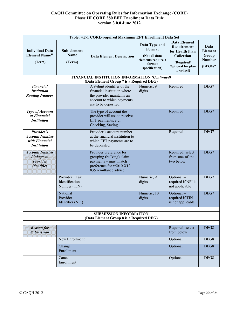|                                                                             | Table: 4.2-1 CORE-required Maximum EFT Enrollment Data Set |                                                                                                                                             |                                                                                            |                                                                                                                              |                                                                   |  |
|-----------------------------------------------------------------------------|------------------------------------------------------------|---------------------------------------------------------------------------------------------------------------------------------------------|--------------------------------------------------------------------------------------------|------------------------------------------------------------------------------------------------------------------------------|-------------------------------------------------------------------|--|
| <b>Individual Data</b><br><b>Element Name<sup>10</sup></b><br>(Term)        | Sub-element<br><b>Name</b><br>(Term)                       | <b>Data Element Description</b>                                                                                                             | Data Type and<br>Format<br>(Not all data<br>elements require a<br>format<br>specification) | <b>Data Element</b><br>Requirement<br>for Health Plan<br>Collection<br>(Required/<br><b>Optional for plan</b><br>to collect) | Data<br><b>Element</b><br>Group<br><b>Number</b><br>$(DEG#)^{11}$ |  |
|                                                                             |                                                            | FINANCIAL INSTITUTION INFORMATION (Continued)<br>(Data Element Group 7 is a Required DEG)                                                   |                                                                                            |                                                                                                                              |                                                                   |  |
| <b>Financial</b><br><b>Institution</b><br><b>Routing Number</b>             |                                                            | A 9-digit identifier of the<br>financial institution where<br>the provider maintains an<br>account to which payments<br>are to be deposited | Numeric, 9<br>digits                                                                       | Required                                                                                                                     | DEG7                                                              |  |
| <b>Type of Account</b><br>at Financial<br><b>Institution</b>                |                                                            | The type of account the<br>provider will use to receive<br>EFT payments, e.g.,<br>Checking, Saving                                          |                                                                                            | Required                                                                                                                     | DEG7                                                              |  |
| Provider's<br><b>Account Number</b><br>with Financial<br><b>Institution</b> |                                                            | Provider's account number<br>at the financial institution to<br>which EFT payments are to<br>be deposited                                   |                                                                                            | Required                                                                                                                     | DEG7                                                              |  |
| <b>Account Number</b><br>Linkage to<br>Provider<br><b>Identifier</b>        |                                                            | Provider preference for<br>grouping (bulking) claim<br>payments - must match<br>preference for v5010 X12<br>835 remittance advice           |                                                                                            | Required; select<br>from one of the<br>two below                                                                             | DEG7                                                              |  |
|                                                                             | Provider Tax<br>Identification<br>Number (TIN)             |                                                                                                                                             | Numeric, 9<br>digits                                                                       | Optional-<br>required if NPI is<br>not applicable                                                                            | DEG7                                                              |  |
|                                                                             | National<br>Provider<br>Identifier (NPI)                   |                                                                                                                                             | Numeric, 10<br>digits                                                                      | Optional-<br>required if TIN<br>is not applicable                                                                            | DEG7                                                              |  |
| <b>SUBMISSION INFORMATION</b><br>(Data Element Group 8 is a Required DEG)   |                                                            |                                                                                                                                             |                                                                                            |                                                                                                                              |                                                                   |  |
| <b>Reason for</b><br><b>Submission</b>                                      |                                                            |                                                                                                                                             |                                                                                            | Required; select<br>from below                                                                                               | DEG8                                                              |  |
|                                                                             | New Enrollment                                             |                                                                                                                                             |                                                                                            | Optional                                                                                                                     | DEG8                                                              |  |
|                                                                             | Change<br>Enrollment                                       |                                                                                                                                             |                                                                                            | Optional                                                                                                                     | DEG8                                                              |  |
|                                                                             | Cancel<br>Enrollment                                       |                                                                                                                                             |                                                                                            | Optional                                                                                                                     | DEG8                                                              |  |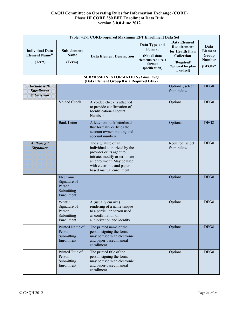| Table: 4.2-1 CORE-required Maximum EFT Enrollment Data Set           |                                                                  |                                                                                                                                                                                                         |                                                                                            |                                                                                                                                     |                                                                   |
|----------------------------------------------------------------------|------------------------------------------------------------------|---------------------------------------------------------------------------------------------------------------------------------------------------------------------------------------------------------|--------------------------------------------------------------------------------------------|-------------------------------------------------------------------------------------------------------------------------------------|-------------------------------------------------------------------|
| <b>Individual Data</b><br><b>Element Name<sup>10</sup></b><br>(Term) | Sub-element<br><b>Name</b><br>(Term)                             | <b>Data Element Description</b>                                                                                                                                                                         | Data Type and<br>Format<br>(Not all data<br>elements require a<br>format<br>specification) | <b>Data Element</b><br>Requirement<br>for Health Plan<br><b>Collection</b><br>(Required/<br><b>Optional for plan</b><br>to collect) | Data<br><b>Element</b><br>Group<br><b>Number</b><br>$(DEG#)^{11}$ |
|                                                                      |                                                                  | <b>SUBMISSION INFORMATION (Continued)</b><br>(Data Element Group 8 is a Required DEG)                                                                                                                   |                                                                                            |                                                                                                                                     |                                                                   |
| <b>Include</b> with<br><b>Enrollment</b><br><b>Submission</b>        |                                                                  |                                                                                                                                                                                                         |                                                                                            | Optional; select<br>from below                                                                                                      | DEG8                                                              |
|                                                                      | Voided Check                                                     | A voided check is attached<br>to provide confirmation of<br>Identification/Account<br><b>Numbers</b>                                                                                                    |                                                                                            | Optional                                                                                                                            | DEG8                                                              |
|                                                                      | <b>Bank Letter</b>                                               | A letter on bank letterhead<br>that formally certifies the<br>account owners routing and<br>account numbers                                                                                             |                                                                                            | Optional                                                                                                                            | DEG8                                                              |
| Authorized<br><b>Signature</b>                                       |                                                                  | The signature of an<br>individual authorized by the<br>provider or its agent to<br>initiate, modify or terminate<br>an enrollment. May be used<br>with electronic and paper-<br>based manual enrollment |                                                                                            | Required; select<br>from below                                                                                                      | DEG8                                                              |
|                                                                      | Electronic<br>Signature of<br>Person<br>Submitting<br>Enrollment |                                                                                                                                                                                                         |                                                                                            | Optional                                                                                                                            | DEG8                                                              |
|                                                                      | Written<br>Signature of<br>Person<br>Submitting<br>Enrollment    | A (usually cursive)<br>rendering of a name unique<br>to a particular person used<br>as confirmation of<br>authorization and identity                                                                    |                                                                                            | Optional                                                                                                                            | DEG8                                                              |
|                                                                      | Printed Name of<br>Person<br>Submitting<br>Enrollment            | The printed name of the<br>person signing the form;<br>may be used with electronic<br>and paper-based manual<br>enrollment                                                                              |                                                                                            | Optional                                                                                                                            | DEG8                                                              |
|                                                                      | Printed Title of<br>Person<br>Submitting<br>Enrollment           | The printed title of the<br>person signing the form;<br>may be used with electronic<br>and paper-based manual<br>enrollment                                                                             |                                                                                            | Optional                                                                                                                            | DEG8                                                              |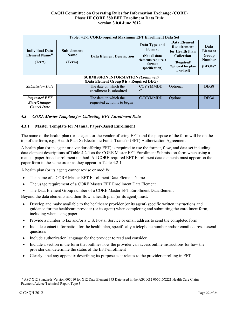| Table: 4.2-1 CORE-required Maximum EFT Enrollment Data Set                            |                                      |                                                       |                                                                                            |                                                                                                                              |                                                                   |
|---------------------------------------------------------------------------------------|--------------------------------------|-------------------------------------------------------|--------------------------------------------------------------------------------------------|------------------------------------------------------------------------------------------------------------------------------|-------------------------------------------------------------------|
| <b>Individual Data</b><br>Element Name <sup>10</sup><br>(Term)                        | Sub-element<br><b>Name</b><br>(Term) | <b>Data Element Description</b>                       | Data Type and<br>Format<br>(Not all data<br>elements require a<br>format<br>specification) | Data Element<br>Requirement<br>for Health Plan<br><b>Collection</b><br>(Required/<br><b>Optional for plan</b><br>to collect) | Data<br><b>Element</b><br>Group<br><b>Number</b><br>$(DEG#)^{11}$ |
| <b>SUBMISSION INFORMATION (Continued)</b><br>(Data Element Group 8 is a Required DEG) |                                      |                                                       |                                                                                            |                                                                                                                              |                                                                   |
| <b>Submission Date</b>                                                                |                                      | The date on which the<br>enrollment is submitted      | <b>CCYYMMDD</b><br>29                                                                      | Optional                                                                                                                     | DEG <sub>8</sub>                                                  |
| <b>Requested EFT</b><br>Start/Change/<br><b>Cancel Date</b>                           |                                      | The date on which the<br>requested action is to begin | <b>CCYYMMDD</b>                                                                            | Optional                                                                                                                     | DEG <sub>8</sub>                                                  |

### <span id="page-20-0"></span>*4.3 CORE Master Template for Collecting EFT Enrollment Data*

### <span id="page-20-1"></span>**4.3.1 Master Template for Manual Paper-Based Enrollment**

The name of the health plan (or its agent or the vendor offering EFT) and the purpose of the form will be on the top of the form, e.g., Health Plan X: Electronic Funds Transfer (EFT) Authorization Agreement.

A health plan (or its agent or a vendor offering EFT) is required to use the format, flow, and data set including data element descriptions of Table 4.2-1 as the CORE Master EFT Enrollment Submission form when using a manual paper-based enrollment method. All CORE-required EFT Enrollment data elements must appear on the paper form in the same order as they appear in Table 4.2-1.

A health plan (or its agent) cannot revise or modify:

- The name of a CORE Master EFT Enrollment Data Element Name
- The usage requirement of a CORE Master EFT Enrollment Data Element
- The Data Element Group number of a CORE Master EFT Enrollment Data Element

Beyond the data elements and their flow, a health plan (or its agent) must:

- Develop and make available to the healthcare provider (or its agent) specific written instructions and guidance for the healthcare provider (or its agent) when completing and submitting the enrollmentform, including when using paper
- Provide a number to fax and/or a U.S. Postal Service or email address to send the completed form
- Include contact information for the health plan, specifically a telephone number and/or email address to send questions
- Include authorization language for the provider to read and consider
- Include a section in the form that outlines how the provider can access online instructions for how the provider can determine the status of the EFT enrollment
- Clearly label any appendix describing its purpose as it relates to the provider enrolling in EFT

<sup>&</sup>lt;sup>29</sup> ASC X12 Standards Version 005010 for X12 Data Element 373 Date used in the ASC X12 005010X221 Health Care Claim Payment/Advice Technical Report Type 3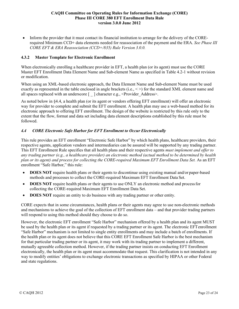• Inform the provider that it must contact its financial institution to arrange for the delivery of the CORErequired Minimum CCD+ data elements needed for reassociation of the payment and the ERA. *See Phase III CORE EFT & ERA Reassociation (CCD+/835) Rule Version 3.0.0.*

### <span id="page-21-0"></span>**4.3.2 Master Template for Electronic Enrollment**

When electronically enrolling a healthcare provider in EFT, a health plan (or its agent) must use the CORE Master EFT Enrollment Data Element Name and Sub-element Name as specified in Table 4.2-1 without revision or modification.

When using an XML-based electronic approach, the Data Element Name and Sub-element Name must be used exactly as represented in the table enclosed in angle brackets (i.e.,  $\langle \rangle$ ) for the standard XML element name and all spaces replaced with an underscore [ ] character e.g., <Provider Address>.

As noted below in §4.4, a health plan (or its agent or vendors offering EFT enrollment) will offer an electronic way for provider to complete and submit the EFT enrollment. A health plan may use a web-based method for its electronic approach to offering EFT enrollment. The design of the website is restricted by this rule only to the extent that the flow, format and data set including data element descriptions established by this rule must be followed.

# <span id="page-21-1"></span>*4.4 CORE Electronic Safe Harbor for EFT Enrollment to Occur Electronically*

This rule provides an EFT enrollment "Electronic Safe Harbor" by which health plans, healthcare providers, their respective agents, application vendors and intermediaries can be assured will be supported by any trading partner. This EFT Enrollment Rule specifies that all health plans and their respective agents *must implement and offer to any trading partner (e.g., a healthcare provider) an electronic method (actual method to be determined by health plan or its agent) and process for collecting the CORE-required Maximum EFT Enrollment Data Set.* As an EFT enrollment "Safe Harbor," this rule:

- **DOES NOT** require health plans or their agents to discontinue using existing manual and/or paper-based methods and processes to collect the CORE-required Maximum EFT Enrollment Data Set.
- **DOES NOT** require health plans or their agents to use ONLY an electronic method and process for collecting the CORE-required Maximum EFT Enrollment Data Set.
- **DOES NOT** require an entity to do business with any trading partner or other entity.

CORE expects that in some circumstances, health plans or their agents may agree to use non-electronic methods and mechanisms to achieve the goal of the collection of EFT enrollment data – and that provider trading partners will respond to using this method should they choose to do so.

However, the electronic EFT enrollment "Safe Harbor" mechanism offered by a health plan and its agent MUST be used by the health plan or its agent if requested by a trading partner or its agent. The electronic EFTenrollment "Safe Harbor" mechanism is not limited to single entity enrollments and may include a batch of enrollments. If the health plan or its agent does not believe that this CORE EFT Enrollment Safe Harbor is the best mechanism for that particular trading partner or its agent, it may work with its trading partner to implement a different, mutually agreeable collection method. However, if the trading partner insists on conducting EFT Enrollment electronically, the health plan or its agent must accommodate that request. This clarification is not intended in any way to modify entities' obligations to exchange electronic transactions as specified by HIPAA or other Federal and state regulations.